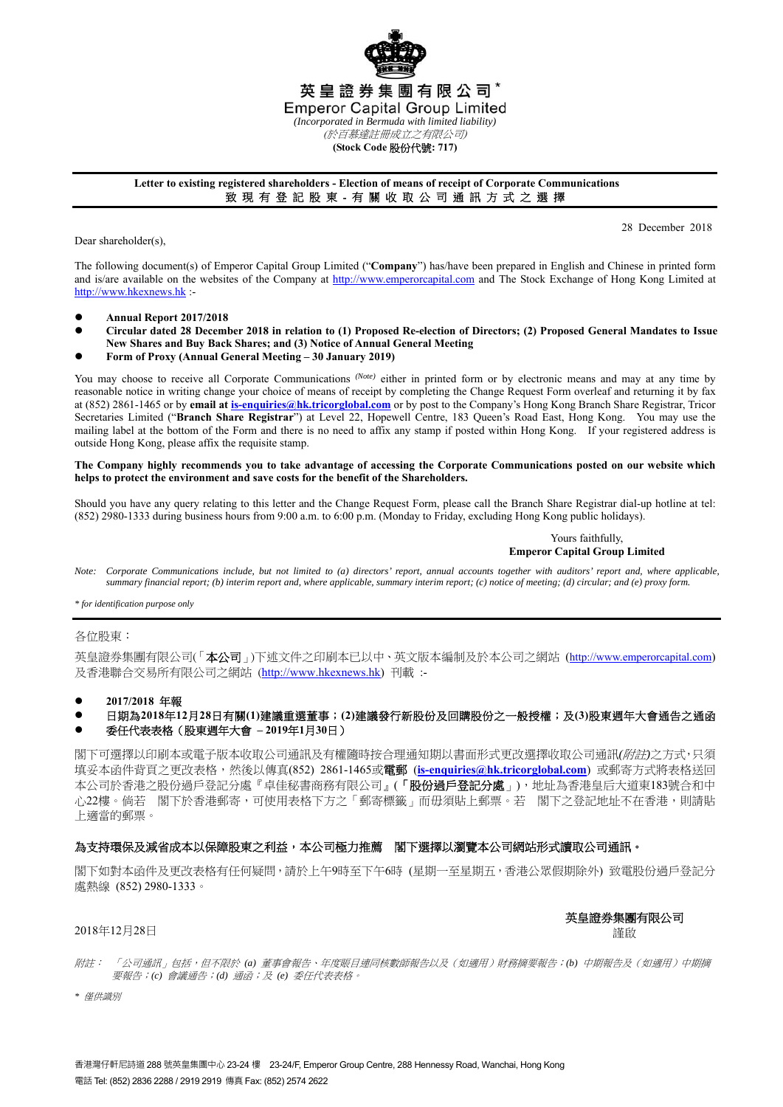

## **Letter to existing registered shareholders - Election of means of receipt of Corporate Communications**  致 現 有 登 記 股 東 - 有 關 收 取 公 司 通 訊 方 式 之 選 擇

Dear shareholder(s),

28 December 2018

The following document(s) of Emperor Capital Group Limited ("**Company**") has/have been prepared in English and Chinese in printed form and is/are available on the websites of the Company at http://www.emperorcapital.com and The Stock Exchange of Hong Kong Limited at http://www.hkexnews.hk :-

- **Annual Report 2017/2018**
- **Circular dated 28 December 2018 in relation to (1) Proposed Re-election of Directors; (2) Proposed General Mandates to Issue New Shares and Buy Back Shares; and (3) Notice of Annual General Meeting**
- **Form of Proxy (Annual General Meeting 30 January 2019)**

You may choose to receive all Corporate Communications <sup>(Note)</sup> either in printed form or by electronic means and may at any time by reasonable notice in writing change your choice of means of receipt by completing the Change Request Form overleaf and returning it by fax at (852) 2861-1465 or by **email at is-enquiries@hk.tricorglobal.com** or by post to the Company's Hong Kong Branch Share Registrar, Tricor Secretaries Limited ("**Branch Share Registrar**") at Level 22, Hopewell Centre, 183 Queen's Road East, Hong Kong. You may use the mailing label at the bottom of the Form and there is no need to affix any stamp if posted within Hong Kong. If your registered address is outside Hong Kong, please affix the requisite stamp.

#### **The Company highly recommends you to take advantage of accessing the Corporate Communications posted on our website which helps to protect the environment and save costs for the benefit of the Shareholders.**

Should you have any query relating to this letter and the Change Request Form, please call the Branch Share Registrar dial-up hotline at tel: (852) 2980-1333 during business hours from 9:00 a.m. to 6:00 p.m. (Monday to Friday, excluding Hong Kong public holidays).

> Yours faithfully, **Emperor Capital Group Limited**

*Note: Corporate Communications include, but not limited to (a) directors' report, annual accounts together with auditors' report and, where applicable, summary financial report; (b) interim report and, where applicable, summary interim report; (c) notice of meeting; (d) circular; and (e) proxy form.* 

*\* for identification purpose only* 

### 各位股東:

英皇證券集團有限公司(「本公司」)下述文件之印刷本已以中、英文版本編制及於本公司之網站 (http://www.emperorcapital.com) 及香港聯合交易所有限公司之網站 (http://www.hkexnews.hk) 刊載 :-

- **2017/2018** 年報
- 日期為**2018**年**12**月**28**日有關**(1)**建議重選董事;**(2)**建議發行新股份及回購股份之一般授權;及**(3)**股東週年大會通告之通函

### 委任代表表格(股東週年大會 **– 2019**年**1**月**30**日)

閣下可選擇以印刷本或電子版本收取公司通訊及有權隨時按合理通知期以書面形式更改選擇收取公司通訊*(*附註*)*之方式,只須 填妥本函件背頁之更改表格,然後以傳真(852) 2861-1465或電郵 (**is-enquiries@hk.tricorglobal.com**) 或郵寄方式將表格送回 本公司於香港之股份過戶登記分處『卓佳秘書商務有限公司』(「股份過戶登記分處」),地址為香港皇后大道東183號合和中 心22樓。倘若 閣下於香港郵寄,可使用表格下方之「郵寄標籤」而毋須貼上郵票。若 閣下之登記地址不在香港,則請貼 上適當的郵票。

# 為支持環保及減省成本以保障股東之利益,本公司極力推薦 閣下選擇以瀏覽本公司網站形式讀取公司通訊。

閣下如對本函件及更改表格有任何疑問,請於上午9時至下午6時 (星期一至星期五,香港公眾假期除外) 致電股份過戶登記分 處熱線 (852) 2980-1333。

#### 英皇證券集團有限公司 謹啟

### 2018年12月28日

附註: 「公司通訊」包括,但不限於 *(a)* 董事會報告、年度賬目連同核數師報告以及(如適用)財務摘要報告;*(b)* 中期報告及(如適用)中期摘 要報告;*(c)* 會議通告;*(d)* 通函;及 *(e)* 委任代表表格。

*\** 僅供識別